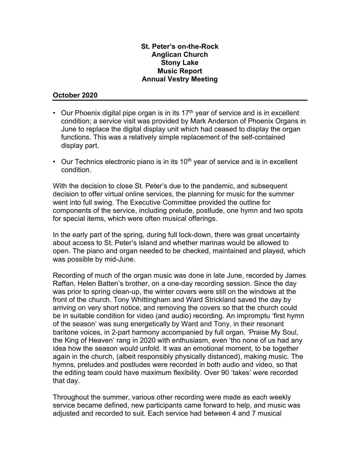## St. Peter's on-the-Rock Anglican Church Stony Lake Music Report Annual Vestry Meeting

## October 2020

- Our Phoenix digital pipe organ is in its  $17<sup>th</sup>$  year of service and is in excellent condition; a service visit was provided by Mark Anderson of Phoenix Organs in June to replace the digital display unit which had ceased to display the organ functions. This was a relatively simple replacement of the self-contained display part.
- Our Technics electronic piano is in its  $10<sup>th</sup>$  year of service and is in excellent condition.

With the decision to close St. Peter's due to the pandemic, and subsequent decision to offer virtual online services, the planning for music for the summer went into full swing. The Executive Committee provided the outline for components of the service, including prelude, postlude, one hymn and two spots for special items, which were often musical offerings.

In the early part of the spring, during full lock-down, there was great uncertainty about access to St. Peter's island and whether marinas would be allowed to open. The piano and organ needed to be checked, maintained and played, which was possible by mid-June.

Recording of much of the organ music was done in late June, recorded by James Raffan, Helen Batten's brother, on a one-day recording session. Since the day was prior to spring clean-up, the winter covers were still on the windows at the front of the church. Tony Whittingham and Ward Strickland saved the day by arriving on very short notice, and removing the covers so that the church could be in suitable condition for video (and audio) recording. An impromptu 'first hymn of the season' was sung energetically by Ward and Tony, in their resonant baritone voices, in 2-part harmony accompanied by full organ. 'Praise My Soul, the King of Heaven' rang in 2020 with enthusiasm, even 'tho none of us had any idea how the season would unfold. It was an emotional moment, to be together again in the church, (albeit responsibly physically distanced), making music. The hymns, preludes and postludes were recorded in both audio and video, so that the editing team could have maximum flexibility. Over 90 'takes' were recorded that day.

Throughout the summer, various other recording were made as each weekly service became defined, new participants came forward to help, and music was adjusted and recorded to suit. Each service had between 4 and 7 musical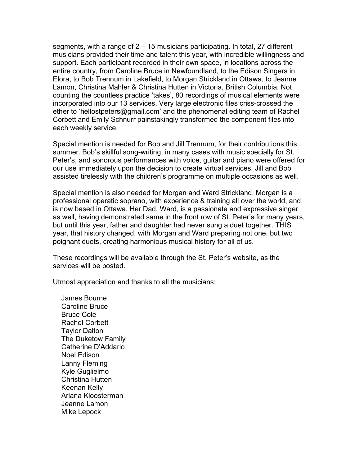segments, with a range of 2 – 15 musicians participating. In total, 27 different musicians provided their time and talent this year, with incredible willingness and support. Each participant recorded in their own space, in locations across the entire country, from Caroline Bruce in Newfoundland, to the Edison Singers in Elora, to Bob Trennum in Lakefield, to Morgan Strickland in Ottawa, to Jeanne Lamon, Christina Mahler & Christina Hutten in Victoria, British Columbia. Not counting the countless practice 'takes', 80 recordings of musical elements were incorporated into our 13 services. Very large electronic files criss-crossed the ether to 'hellostpeters@gmail.com' and the phenomenal editing team of Rachel Corbett and Emily Schnurr painstakingly transformed the component files into each weekly service.

Special mention is needed for Bob and Jill Trennum, for their contributions this summer. Bob's skillful song-writing, in many cases with music specially for St. Peter's, and sonorous performances with voice, guitar and piano were offered for our use immediately upon the decision to create virtual services. Jill and Bob assisted tirelessly with the children's programme on multiple occasions as well.

Special mention is also needed for Morgan and Ward Strickland. Morgan is a professional operatic soprano, with experience & training all over the world, and is now based in Ottawa. Her Dad, Ward, is a passionate and expressive singer as well, having demonstrated same in the front row of St. Peter's for many years, but until this year, father and daughter had never sung a duet together. THIS year, that history changed, with Morgan and Ward preparing not one, but two poignant duets, creating harmonious musical history for all of us.

These recordings will be available through the St. Peter's website, as the services will be posted.

Utmost appreciation and thanks to all the musicians:

James Bourne Caroline Bruce Bruce Cole Rachel Corbett Taylor Dalton The Duketow Family Catherine D'Addario Noel Edison Lanny Fleming Kyle Guglielmo Christina Hutten Keenan Kelly Ariana Kloosterman Jeanne Lamon Mike Lepock